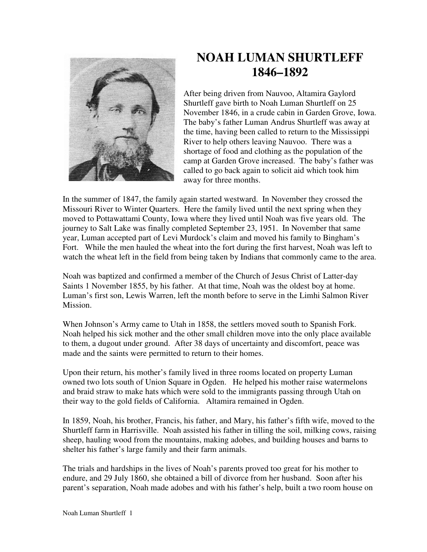

## **NOAH LUMAN SHURTLEFF 1846–1892**

After being driven from Nauvoo, Altamira Gaylord Shurtleff gave birth to Noah Luman Shurtleff on 25 November 1846, in a crude cabin in Garden Grove, Iowa. The baby's father Luman Andrus Shurtleff was away at the time, having been called to return to the Mississippi River to help others leaving Nauvoo. There was a shortage of food and clothing as the population of the camp at Garden Grove increased. The baby's father was called to go back again to solicit aid which took him away for three months.

In the summer of 1847, the family again started westward. In November they crossed the Missouri River to Winter Quarters. Here the family lived until the next spring when they moved to Pottawattami County, Iowa where they lived until Noah was five years old. The journey to Salt Lake was finally completed September 23, 1951. In November that same year, Luman accepted part of Levi Murdock's claim and moved his family to Bingham's Fort. While the men hauled the wheat into the fort during the first harvest, Noah was left to watch the wheat left in the field from being taken by Indians that commonly came to the area.

Noah was baptized and confirmed a member of the Church of Jesus Christ of Latter-day Saints 1 November 1855, by his father. At that time, Noah was the oldest boy at home. Luman's first son, Lewis Warren, left the month before to serve in the Limhi Salmon River Mission.

When Johnson's Army came to Utah in 1858, the settlers moved south to Spanish Fork. Noah helped his sick mother and the other small children move into the only place available to them, a dugout under ground. After 38 days of uncertainty and discomfort, peace was made and the saints were permitted to return to their homes.

Upon their return, his mother's family lived in three rooms located on property Luman owned two lots south of Union Square in Ogden. He helped his mother raise watermelons and braid straw to make hats which were sold to the immigrants passing through Utah on their way to the gold fields of California. Altamira remained in Ogden.

In 1859, Noah, his brother, Francis, his father, and Mary, his father's fifth wife, moved to the Shurtleff farm in Harrisville. Noah assisted his father in tilling the soil, milking cows, raising sheep, hauling wood from the mountains, making adobes, and building houses and barns to shelter his father's large family and their farm animals.

The trials and hardships in the lives of Noah's parents proved too great for his mother to endure, and 29 July 1860, she obtained a bill of divorce from her husband. Soon after his parent's separation, Noah made adobes and with his father's help, built a two room house on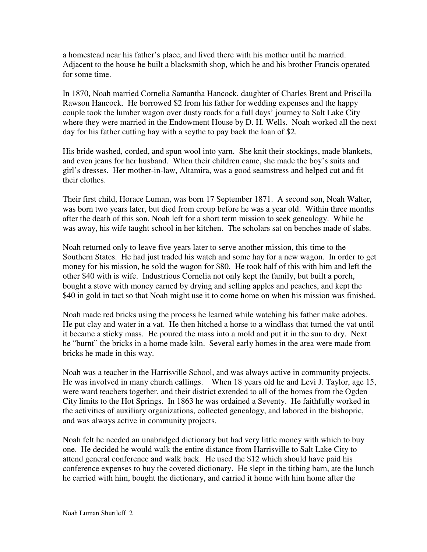a homestead near his father's place, and lived there with his mother until he married. Adjacent to the house he built a blacksmith shop, which he and his brother Francis operated for some time.

In 1870, Noah married Cornelia Samantha Hancock, daughter of Charles Brent and Priscilla Rawson Hancock. He borrowed \$2 from his father for wedding expenses and the happy couple took the lumber wagon over dusty roads for a full days' journey to Salt Lake City where they were married in the Endowment House by D. H. Wells. Noah worked all the next day for his father cutting hay with a scythe to pay back the loan of \$2.

His bride washed, corded, and spun wool into yarn. She knit their stockings, made blankets, and even jeans for her husband. When their children came, she made the boy's suits and girl's dresses. Her mother-in-law, Altamira, was a good seamstress and helped cut and fit their clothes.

Their first child, Horace Luman, was born 17 September 1871. A second son, Noah Walter, was born two years later, but died from croup before he was a year old. Within three months after the death of this son, Noah left for a short term mission to seek genealogy. While he was away, his wife taught school in her kitchen. The scholars sat on benches made of slabs.

Noah returned only to leave five years later to serve another mission, this time to the Southern States. He had just traded his watch and some hay for a new wagon. In order to get money for his mission, he sold the wagon for \$80. He took half of this with him and left the other \$40 with is wife. Industrious Cornelia not only kept the family, but built a porch, bought a stove with money earned by drying and selling apples and peaches, and kept the \$40 in gold in tact so that Noah might use it to come home on when his mission was finished.

Noah made red bricks using the process he learned while watching his father make adobes. He put clay and water in a vat. He then hitched a horse to a windlass that turned the vat until it became a sticky mass. He poured the mass into a mold and put it in the sun to dry. Next he "burnt" the bricks in a home made kiln. Several early homes in the area were made from bricks he made in this way.

Noah was a teacher in the Harrisville School, and was always active in community projects. He was involved in many church callings. When 18 years old he and Levi J. Taylor, age 15, were ward teachers together, and their district extended to all of the homes from the Ogden City limits to the Hot Springs. In 1863 he was ordained a Seventy. He faithfully worked in the activities of auxiliary organizations, collected genealogy, and labored in the bishopric, and was always active in community projects.

Noah felt he needed an unabridged dictionary but had very little money with which to buy one. He decided he would walk the entire distance from Harrisville to Salt Lake City to attend general conference and walk back. He used the \$12 which should have paid his conference expenses to buy the coveted dictionary. He slept in the tithing barn, ate the lunch he carried with him, bought the dictionary, and carried it home with him home after the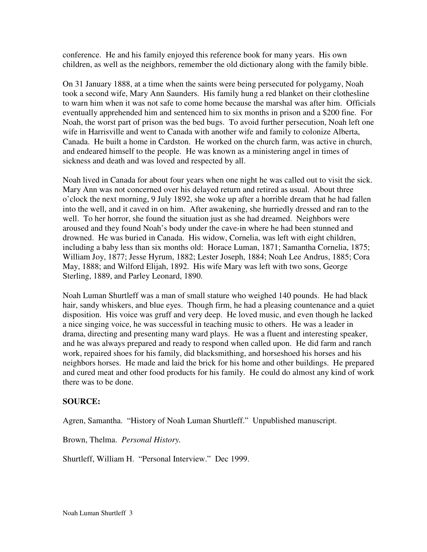conference. He and his family enjoyed this reference book for many years. His own children, as well as the neighbors, remember the old dictionary along with the family bible.

On 31 January 1888, at a time when the saints were being persecuted for polygamy, Noah took a second wife, Mary Ann Saunders. His family hung a red blanket on their clothesline to warn him when it was not safe to come home because the marshal was after him. Officials eventually apprehended him and sentenced him to six months in prison and a \$200 fine. For Noah, the worst part of prison was the bed bugs. To avoid further persecution, Noah left one wife in Harrisville and went to Canada with another wife and family to colonize Alberta, Canada. He built a home in Cardston. He worked on the church farm, was active in church, and endeared himself to the people. He was known as a ministering angel in times of sickness and death and was loved and respected by all.

Noah lived in Canada for about four years when one night he was called out to visit the sick. Mary Ann was not concerned over his delayed return and retired as usual. About three o'clock the next morning, 9 July 1892, she woke up after a horrible dream that he had fallen into the well, and it caved in on him. After awakening, she hurriedly dressed and ran to the well. To her horror, she found the situation just as she had dreamed. Neighbors were aroused and they found Noah's body under the cave-in where he had been stunned and drowned. He was buried in Canada. His widow, Cornelia, was left with eight children, including a baby less than six months old: Horace Luman, 1871; Samantha Cornelia, 1875; William Joy, 1877; Jesse Hyrum, 1882; Lester Joseph, 1884; Noah Lee Andrus, 1885; Cora May, 1888; and Wilford Elijah, 1892. His wife Mary was left with two sons, George Sterling, 1889, and Parley Leonard, 1890.

Noah Luman Shurtleff was a man of small stature who weighed 140 pounds. He had black hair, sandy whiskers, and blue eyes. Though firm, he had a pleasing countenance and a quiet disposition. His voice was gruff and very deep. He loved music, and even though he lacked a nice singing voice, he was successful in teaching music to others. He was a leader in drama, directing and presenting many ward plays. He was a fluent and interesting speaker, and he was always prepared and ready to respond when called upon. He did farm and ranch work, repaired shoes for his family, did blacksmithing, and horseshoed his horses and his neighbors horses. He made and laid the brick for his home and other buildings. He prepared and cured meat and other food products for his family. He could do almost any kind of work there was to be done.

## **SOURCE:**

Agren, Samantha. "History of Noah Luman Shurtleff." Unpublished manuscript.

Brown, Thelma. *Personal History.* 

Shurtleff, William H. "Personal Interview." Dec 1999.